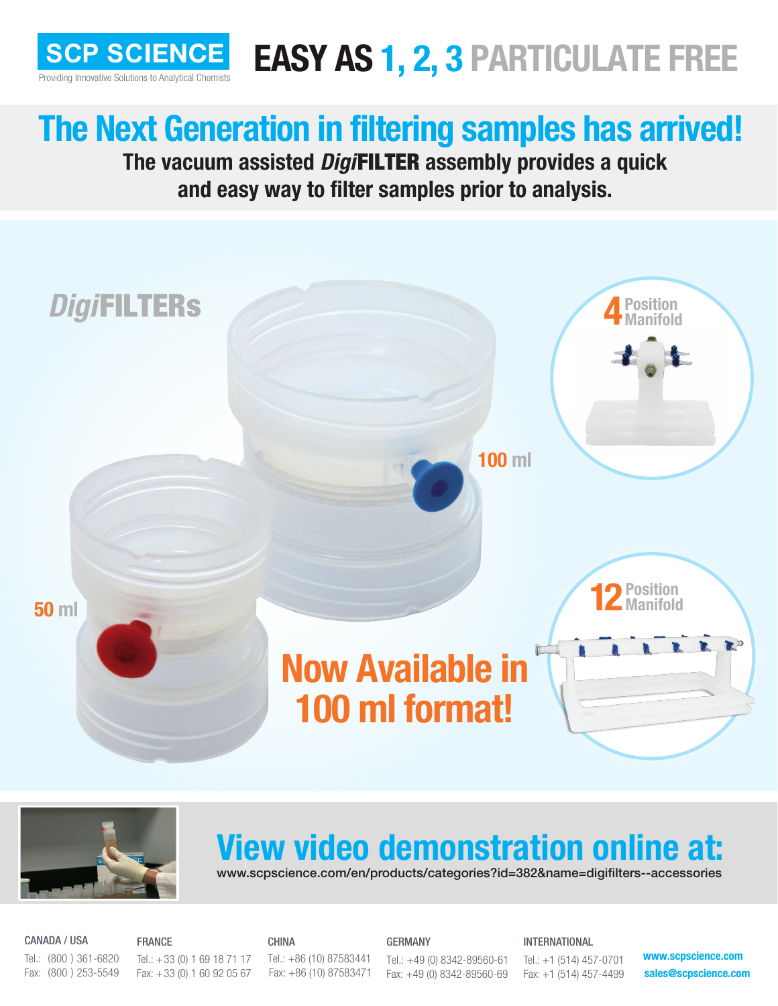

## **SCP SCIENCE EASY AS 1, 2, 3 PARTICULATE FREE**

## **The Next Generation in filtering samples has arrived!**

**The vacuum assisted** *Digi*FILTER **assembly provides a quick and easy way to filter samples prior to analysis.**





## **View video demonstration online at:**

www.scpscience.com/en/products/categories?id=382&name=digifilters--accessories

Tel.: +49 (0) 8342-89560-61 Fax: +49 (0) 8342-89560-69

CANADA / USA Tel.: (800 ) 361-6820 Fax: (800 ) 253-5549

FRANCE Tel.:  $+33$  (0) 1 69 18 71 17 Fax: +33 (0) 1 60 92 05 67

CHINA Tel.: +86 (10) 87583441 Fax: +86 (10) 87583471 GERMANY

INTERNATIONAL

Tel.: +1 (514) 457-0701 Fax: +1 (514) 457-4499 **www.scpscience.com sales@scpscience.com**